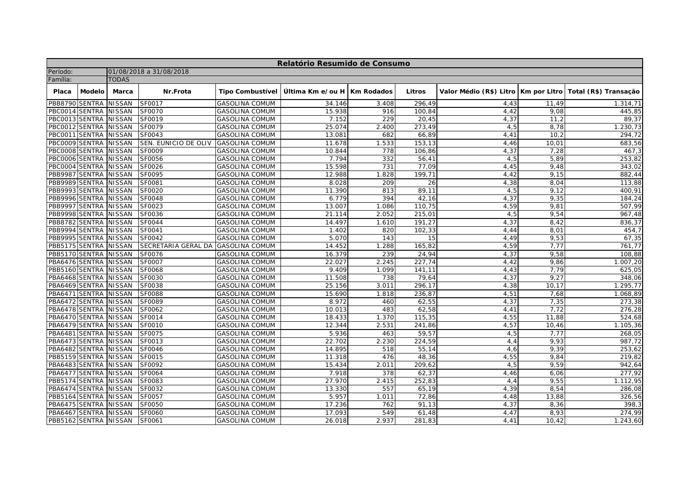| Relatório Resumido de Consumo |               |                         |                      |                         |                               |       |               |                                        |        |                       |  |  |
|-------------------------------|---------------|-------------------------|----------------------|-------------------------|-------------------------------|-------|---------------|----------------------------------------|--------|-----------------------|--|--|
| Período:                      |               | 01/08/2018 a 31/08/2018 |                      |                         |                               |       |               |                                        |        |                       |  |  |
| Família:                      |               | <b>TODAS</b>            |                      |                         |                               |       |               |                                        |        |                       |  |  |
| Placa                         | <b>Modelo</b> | Marca                   | Nr.Frota             | <b>Tipo Combustível</b> | Última Km e/ou H   Km Rodados |       | <b>Litros</b> | Valor Médio (R\$) Litro   Km por Litro |        | Total (R\$) Transação |  |  |
| PBB8790 SENTRA                |               | <b>NISSAN</b>           | <b>SF0017</b>        | <b>GASOLINA COMUM</b>   | 34.146                        | 3.408 | 296,49        | 4,43                                   | 11,49  | 1.314,71              |  |  |
| PBC0014 SENTRA                |               | <b>NISSAN</b>           | SF0070               | <b>GASOLINA COMUM</b>   | 15.938                        | 916   | 100,84        | 4,42                                   | 9,08   | 445,85                |  |  |
| PBC0013 SENTRA                |               | <b>NISSAN</b>           | SF0019               | <b>GASOLINA COMUM</b>   | 7.152                         | 229   | 20,45         | 4,37                                   | 11,2   | 89,37                 |  |  |
| PBC0012 SENTRA                |               | <b>NISSAN</b>           | SF0079               | <b>GASOLINA COMUM</b>   | 25.074                        | 2.400 | 273,49        | 4,5                                    | 8,78   | 1.230,73              |  |  |
| PBC0011                       | <b>SENTRA</b> | <b>NISSAN</b>           | SF0043               | <b>GASOLINA COMUM</b>   | 13.081                        | 682   | 66.89         | 4,41                                   | 10.2   | 294,72                |  |  |
| PBC0009 SENTRA                |               | <b>NISSAN</b>           | SEN. EUNICIO DE OLIV | <b>GASOLINA COMUM</b>   | 11.678                        | 1.533 | 153,13        | 4,46                                   | 10,01  | 683,56                |  |  |
| PBC0008 SENTRA                |               | <b>NISSAN</b>           | SF0009               | <b>GASOLINA COMUM</b>   | 10.844                        | 778   | 106.86        | 4,37                                   | 7,28   | 467,3                 |  |  |
| PBC0006 SENTRA                |               | <b>NISSAN</b>           | SF0056               | <b>GASOLINA COMUM</b>   | 7.794                         | 332   | 56,41         | 4,5                                    | 5,89   | 253,82                |  |  |
| PBC0004 SENTRA                |               | <b>NISSAN</b>           | SF0026               | <b>GASOLINA COMUM</b>   | 15.598                        | 731   | 77,09         | 4,45                                   | 9,48   | 343,02                |  |  |
| PBB9987 SENTRA                |               | <b>NISSAN</b>           | SF0095               | <b>GASOLINA COMUM</b>   | 12.988                        | 1.828 | 199,71        | 4,42                                   | 9,15   | 882,44                |  |  |
| PBB9989 SENTRA                |               | <b>NISSAN</b>           | SF0081               | <b>GASOLINA COMUM</b>   | 8.028                         | 209   | 26            | 4,38                                   | 8,04   | 113,88                |  |  |
| PBB9993 SENTRA                |               | <b>NISSAN</b>           | <b>SF0020</b>        | <b>GASOLINA COMUM</b>   | 11.390                        | 813   | 89,11         | 4,5                                    | 9,12   | 400,91                |  |  |
| PBB9996 SENTRA                |               | <b>NISSAN</b>           | <b>SF0048</b>        | <b>GASOLINA COMUM</b>   | 6.779                         | 394   | 42,16         | 4,37                                   | 9,35   | 184,24                |  |  |
| PBB9997 SENTRA                |               | <b>NISSAN</b>           | SF0023               | <b>GASOLINA COMUM</b>   | 13.007                        | 1.086 | 110,75        | 4,59                                   | 9,81   | 507,99                |  |  |
| PBB9998 SENTRA                |               | <b>NISSAN</b>           | SF0036               | <b>GASOLINA COMUM</b>   | 21.114                        | 2.052 | 215,01        | 4,5                                    | 9,54   | 967,48                |  |  |
| PBB8782 SENTRA                |               | <b>NISSAN</b>           | <b>SF0044</b>        | <b>GASOLINA COMUM</b>   | 14.497                        | 1.610 | 191,27        | 4,37                                   | 8,42   | 836,37                |  |  |
| PBB9994 SENTRA                |               | <b>NISSAN</b>           | SF0041               | <b>GASOLINA COMUM</b>   | 1.402                         | 820   | 102,33        | 4,44                                   | 8,01   | 454,7                 |  |  |
| PBB9995 SENTRA                |               | <b>NISSAN</b>           | SF0042               | <b>GASOLINA COMUM</b>   | 5.070                         | 143   | 15            | 4,49                                   | 9,53   | 67,35                 |  |  |
| PBB5175 SENTRA                |               | <b>NISSAN</b>           | SECRETARIA GERAL DA  | <b>GASOLINA COMUM</b>   | 14.452                        | 1.288 | 165,82        | 4,59                                   | 7,77   | 761,77                |  |  |
| PBB5170 SENTRA                |               | <b>NISSAN</b>           | <b>SF0076</b>        | <b>GASOLINA COMUM</b>   | 16.379                        | 239   | 24,94         | 4,37                                   | 9,58   | 108,88                |  |  |
| PBA6476 SENTRA                |               | <b>NISSAN</b>           | SF0007               | <b>GASOLINA COMUM</b>   | 22.027                        | 2.245 | 227,74        | 4,42                                   | 9,86   | 1.007,20              |  |  |
| PBB5160 SENTRA                |               | <b>NISSAN</b>           | SF0068               | <b>GASOLINA COMUM</b>   | 9.409                         | 1.099 | 141,11        | 4,43                                   | 7,79   | 625,05                |  |  |
| PBA6468 SENTRA                |               | <b>NISSAN</b>           | SF0030               | <b>GASOLINA COMUM</b>   | 11.508                        | 738   | 79,64         | 4,37                                   | 9,27   | 348,06                |  |  |
| PBA6469 SENTRA                |               | <b>NISSAN</b>           | SF0038               | <b>GASOLINA COMUM</b>   | 25.156                        | 3.011 | 296,17        | 4,38                                   | 10, 17 | 1.295,77              |  |  |
| PBA6471 SENTRA                |               | <b>NISSAN</b>           | <b>SF0088</b>        | <b>GASOLINA COMUM</b>   | 15.690                        | 1.818 | 236,87        | 4,51                                   | 7,68   | 1.068,89              |  |  |
| PBA6472 SENTRA                |               | <b>NISSAN</b>           | SF0089               | <b>GASOLINA COMUM</b>   | 8.972                         | 460   | 62,55         | 4,37                                   | 7,35   | 273,38                |  |  |
| PBA6478 SENTRA                |               | <b>NISSAN</b>           | SF0062               | <b>GASOLINA COMUM</b>   | 10.013                        | 483   | 62,58         | 4,41                                   | 7,72   | 276,28                |  |  |
| PBA6470 SENTRA                |               | <b>NISSAN</b>           | SF0014               | <b>GASOLINA COMUM</b>   | 18.433                        | 1.370 | 115,35        | 4,55                                   | 11,88  | 524,68                |  |  |
| PBA6479 SENTRA                |               | <b>NISSAN</b>           | SF0010               | <b>GASOLINA COMUM</b>   | 12.344                        | 2.531 | 241,86        | 4,57                                   | 10,46  | 1.105,36              |  |  |
| PBA6481                       | <b>SENTRA</b> | <b>NISSAN</b>           | SF0075               | <b>GASOLINA COMUM</b>   | 5.936                         | 463   | 59,57         | 4,5                                    | 7,77   | 268,05                |  |  |
| PBA6473 SENTRA                |               | <b>NISSAN</b>           | SF0013               | <b>GASOLINA COMUM</b>   | 22.702                        | 2.230 | 224,59        | 4,4                                    | 9,93   | 987,72                |  |  |
| PBA6482 SENTRA                |               | <b>NISSAN</b>           | SF0046               | <b>GASOLINA COMUM</b>   | 14.895                        | 518   | 55,14         | 4,6                                    | 9,39   | 253,62                |  |  |
| PBB5159 SENTRA                |               | <b>NISSAN</b>           | SF0015               | <b>GASOLINA COMUM</b>   | 11.318                        | 476   | 48,36         | 4,55                                   | 9,84   | 219,82                |  |  |
| PBA6483 SENTRA                |               | <b>NISSAN</b>           | SF0092               | <b>GASOLINA COMUM</b>   | 15.434                        | 2.011 | 209,62        | 4,5                                    | 9,59   | 942,64                |  |  |
| PBA6477 SENTRA                |               | <b>NISSAN</b>           | SF0064               | <b>GASOLINA COMUM</b>   | 7.918                         | 378   | 62,37         | 4,46                                   | 6,06   | 277,92                |  |  |
| PBB5174 SENTRA                |               | <b>NISSAN</b>           | SF0083               | <b>GASOLINA COMUM</b>   | 27.970                        | 2.415 | 252,83        | 4,4                                    | 9,55   | 1.112,95              |  |  |
| PBA6474 SENTRA                |               | <b>NISSAN</b>           | SF0032               | <b>GASOLINA COMUM</b>   | 13.330                        | 557   | 65,19         | 4,39                                   | 8,54   | 286,08                |  |  |
| PBB5164 SENTRA                |               | <b>NISSAN</b>           | SF0057               | <b>GASOLINA COMUM</b>   | 5.957                         | 1.011 | 72,86         | 4,48                                   | 13,88  | 326,56                |  |  |
| PBA6475 SENTRA                |               | <b>NISSAN</b>           | SF0050               | <b>GASOLINA COMUM</b>   | 17.236                        | 762   | 91,13         | 4,37                                   | 8,36   | 398,3                 |  |  |
| PBA6467 SENTRA                |               | <b>NISSAN</b>           | SF0060               | <b>GASOLINA COMUM</b>   | 17.093                        | 549   | 61,48         | 4,47                                   | 8,93   | 274,99                |  |  |
| PBB5162 SENTRA NISSAN         |               |                         | SF0061               | <b>GASOLINA COMUM</b>   | 26.018                        | 2.937 | 281,83        | 4,41                                   | 10,42  | 1.243,60              |  |  |